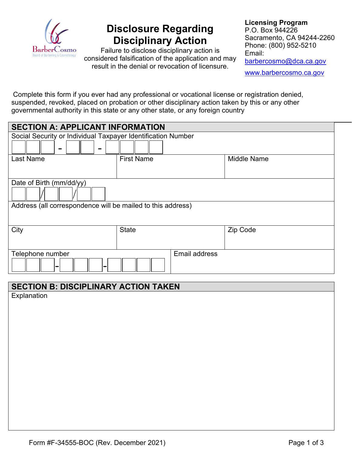

# **Disclosure Regarding Disciplinary Action**

Failure to disclose disciplinary action is considered falsification of the application and may result in the denial or revocation of licensure.

**Licensing Program** P.O. Box 944226 Sacramento, CA 94244-2260 Phone: (800) 952-5210 Email: [barbercosmo@dca.ca.gov](mailto:barbercosmo@dca.ca.gov) [www.barbercosmo.ca.gov](http://www.barbercosmo.ca.gov/)

Complete this form if you ever had any professional or vocational license or registration denied, suspended, revoked, placed on probation or other disciplinary action taken by this or any other governmental authority in this state or any other state, or any foreign country

| <b>SECTION A: APPLICANT INFORMATION</b>                      |                      |                    |  |  |  |
|--------------------------------------------------------------|----------------------|--------------------|--|--|--|
| Social Security or Individual Taxpayer Identification Number |                      |                    |  |  |  |
| <b>CONTRACTOR</b><br>-                                       |                      |                    |  |  |  |
| <b>Last Name</b>                                             | <b>First Name</b>    | <b>Middle Name</b> |  |  |  |
|                                                              |                      |                    |  |  |  |
| Date of Birth (mm/dd/yy)                                     |                      |                    |  |  |  |
|                                                              |                      |                    |  |  |  |
| Address (all correspondence will be mailed to this address)  |                      |                    |  |  |  |
|                                                              |                      |                    |  |  |  |
| City                                                         | <b>State</b>         | Zip Code           |  |  |  |
|                                                              |                      |                    |  |  |  |
| Telephone number                                             | <b>Email address</b> |                    |  |  |  |
| $\sim$<br>۰                                                  |                      |                    |  |  |  |

# **SECTION B: DISCIPLINARY ACTION TAKEN**

**Explanation**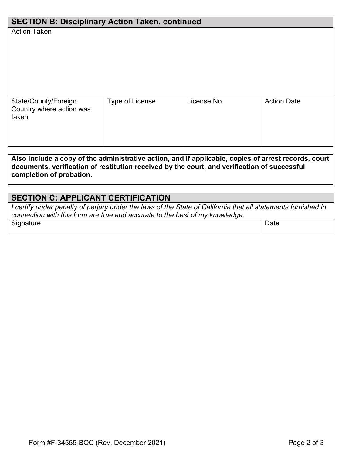| <b>SECTION B: Disciplinary Action Taken, continued</b>    |                 |             |                    |  |  |
|-----------------------------------------------------------|-----------------|-------------|--------------------|--|--|
| <b>Action Taken</b>                                       |                 |             |                    |  |  |
| State/County/Foreign<br>Country where action was<br>taken | Type of License | License No. | <b>Action Date</b> |  |  |

**Also include a copy of the administrative action, and if applicable, copies of arrest records, court documents, verification of restitution received by the court, and verification of successful completion of probation.** 

# **SECTION C: APPLICANT CERTIFICATION**

*I certify under penalty of perjury under the laws of the State of California that all statements furnished in connection with this form are true and accurate to the best of my knowledge.*

| $\sim$<br>-<br>. | រເເ |
|------------------|-----|
|                  |     |